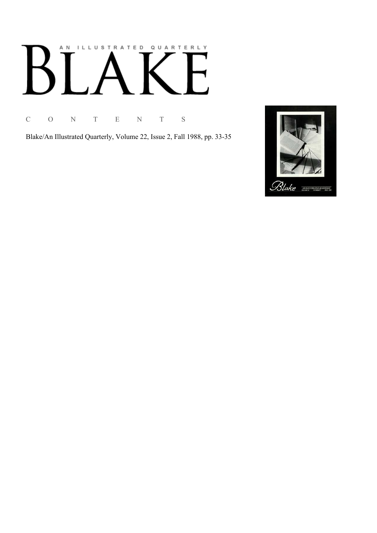# AN ILLUSTRATED QUARTERLY

C O N T E N T S

Blake/An Illustrated Quarterly, Volume 22, Issue 2, Fall 1988, pp. 33-35

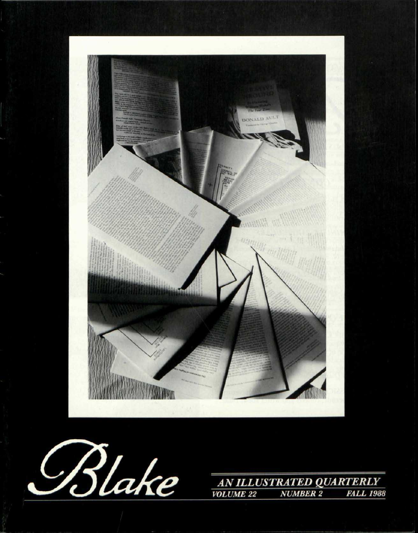



AN ILLUSTRATED QUARTERLY **VOLUME 22 NUMBER 2 FALL 1988**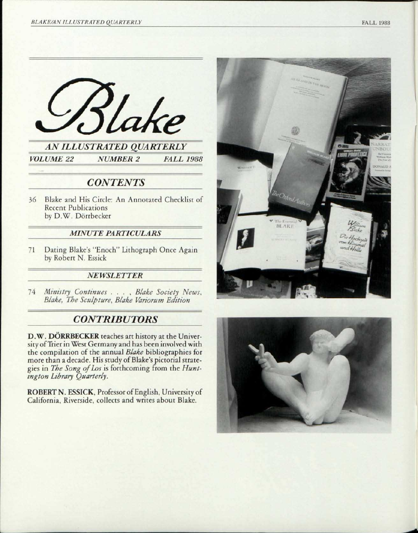

# *CONTENTS*

36 Blake and His Circle: An Annotated Checklist of Recent Publications by D.W. Dörrbecker

### *MINUTE PARTICULARS ~*

71 Dating Blake's "Enoch" Lithograph Once Again by Robert N. Essick

### *NEWSLETTER*

*1A Ministry Continues . . .* , *Blake Society News, Blake, The Sculpture, Blake Variorum Edition* 

# *CONTRIBUTORS*

D.W. DORRBECKER teaches art history at the University of Trier in West Germany and has been involved with the compilation of the annual *Blake* bibliographies for more than a decade. His study of Blake's pictorial strategies in *The Song of Los* is forthcoming from the *Huntington Library Quarterly.* 

ROBERT N. ESSICK, Professor of English, University of California, Riverside, collects and writes about Blake.